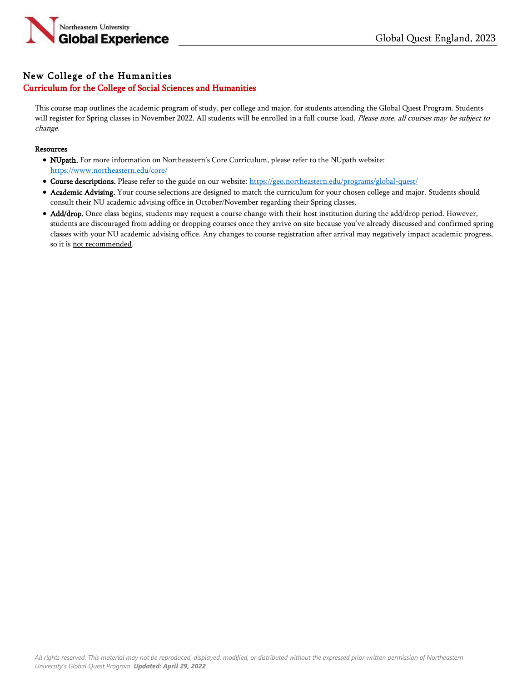

## New College of the Humanities Curriculum for the College of Social Sciences and Humanities

This course map outlines the academic program of study, per college and major, for students attending the Global Quest Program. Students will register for Spring classes in November 2022. All students will be enrolled in a full course load. Please note, all courses may be subject to change.

## Resources

- NUpath. For more information on Northeastern's Core Curriculum, please refer to the NUpath website: <https://www.northeastern.edu/core/>
- Course descriptions. Please refer to the guide on our website: <https://geo.northeastern.edu/programs/global-quest/>
- Academic Advising. Your course selections are designed to match the curriculum for your chosen college and major. Students should consult their NU academic advising office in October/November regarding their Spring classes.
- Add/drop. Once class begins, students may request a course change with their host institution during the add/drop period. However, students are discouraged from adding or dropping courses once they arrive on site because you've already discussed and confirmed spring classes with your NU academic advising office. Any changes to course registration after arrival may negatively impact academic progress, so it is not recommended.